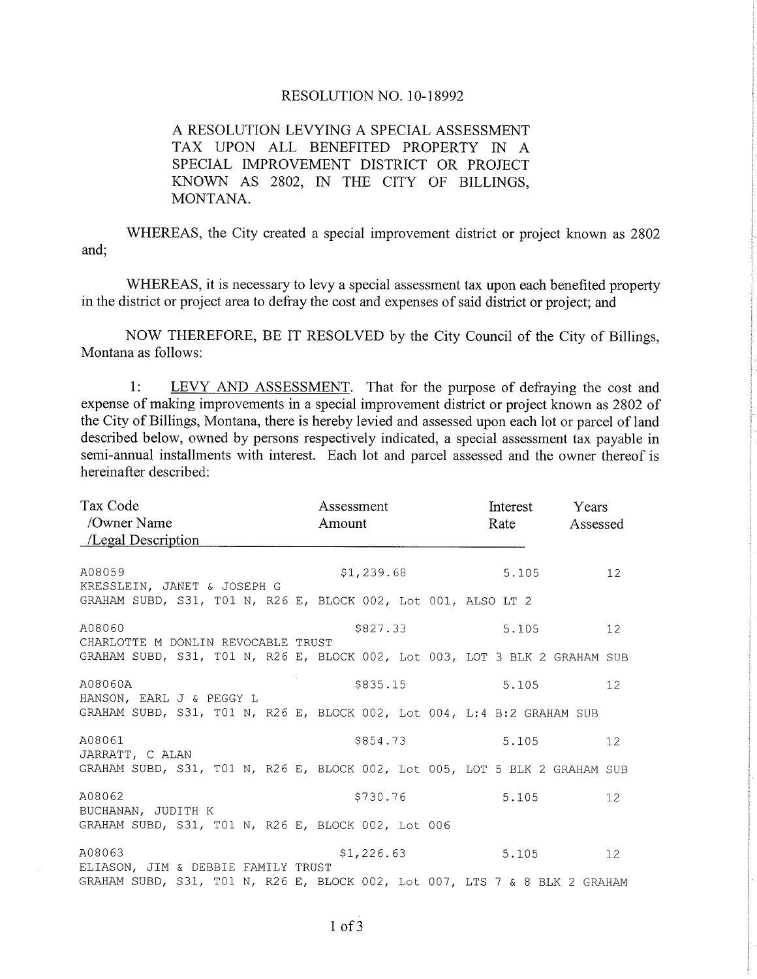## RESOLUTION NO. 10-18992

## A RESOLUTION LEVYING A SPECIAL ASSESSMENT TAX UPON ALL BENEFITED PROPERTY IN A SPECIAL IMPROVEMENT DISTRICT OR PROJECT KNOWN AS 2802, IN THE CITY OF BILLINGS, MONTANA.

WHEREAS, the City created a special improvement district or project known as 2802 and;

WHEREAS, it is necessary to levy a special assessment tax upon each benefited property in the district or project area to defray the cost and expenses of said district or project; and

NOW THEREFORE, BE IT RESOLVED by the City Council of the City of Billings, Montana as follows:

1: LEVY AND ASSESSMENT. That for the purpose of defraying the cost and expense of making improvements in a special improvement district or project known as 2802 of the City of Billings, Montana, there is hereby levied and assessed upon each lot or parcel of land described below, owned by persons respectively indicated, a special assessment tax payable in semi-annual installments with interest. Each lot and parcel assessed and the owner thereof is hereinafter described:

| Tax Code<br>/Owner Name<br>$\angle$ Legal Description                                                  | Assessment<br>Amount | Interest<br>Rate | Years<br>Assessed |
|--------------------------------------------------------------------------------------------------------|----------------------|------------------|-------------------|
| A08059<br>KRESSLEIN, JANET & JOSEPH G<br>GRAHAM SUBD, S31, T01 N, R26 E, BLOCK 002, Lot 001, ALSO LT 2 | \$1,239.68           | 5.105            | 12 <sup>°</sup>   |
| A08060<br>CHARLOTTE M DONLIN REVOCABLE TRUST                                                           | \$827.33             | 5.105            | 12 <sup>°</sup>   |
| GRAHAM SUBD, S31, T01 N, R26 E, BLOCK 002, Lot 003, LOT 3 BLK 2 GRAHAM SUB                             |                      |                  |                   |
| A08060A<br>HANSON, EARL J & PEGGY L                                                                    | \$835.15             | 5.105            | 12 <sup>°</sup>   |
| GRAHAM SUBD, S31, T01 N, R26 E, BLOCK 002, Lot 004, L:4 B:2 GRAHAM SUB                                 |                      |                  |                   |
| A08061<br>JARRATT, C ALAN                                                                              | \$854.73             | 5.105            | 12 <sup>°</sup>   |
| GRAHAM SUBD, S31, T01 N, R26 E, BLOCK 002, Lot 005, LOT 5 BLK 2 GRAHAM SUB                             |                      |                  |                   |
| A08062<br>BUCHANAN, JUDITH K                                                                           | \$730.76             | 5.105            | 12 <sup>°</sup>   |
| GRAHAM SUBD, S31, T01 N, R26 E, BLOCK 002, Lot 006                                                     |                      |                  |                   |
| A08063<br>ELIASON, JIM & DEBBIE FAMILY TRUST                                                           | \$1,226.63           | 5.105            | 12 <sup>°</sup>   |
| GRAHAM SUBD, S31, T01 N, R26 E, BLOCK 002, Lot 007, LTS 7 & 8 BLK 2 GRAHAM                             |                      |                  |                   |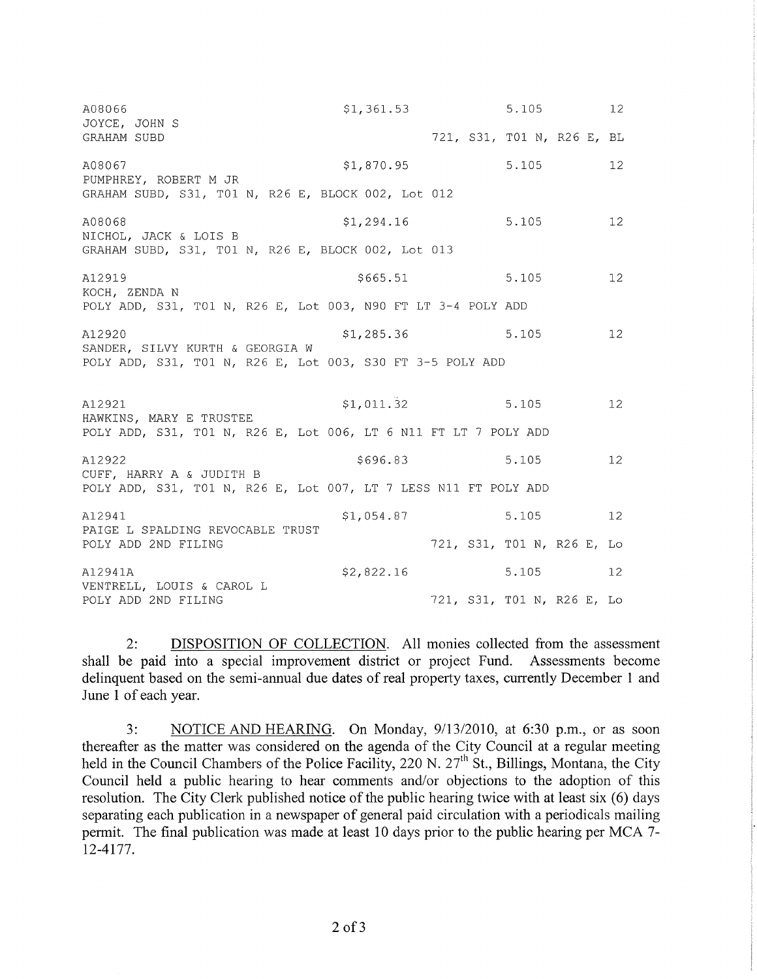| A08066<br>JOYCE, JOHN S                                                                     | \$1,361.53 | 5.105                      | 12 <sup>°</sup> |
|---------------------------------------------------------------------------------------------|------------|----------------------------|-----------------|
| GRAHAM SUBD                                                                                 |            | 721, S31, T01 N, R26 E, BL |                 |
| A08067<br>PUMPHREY, ROBERT M JR                                                             | \$1,870.95 | 5.105                      | 12 <sup>°</sup> |
| GRAHAM SUBD, S31, T01 N, R26 E, BLOCK 002, Lot 012                                          |            |                            |                 |
| A08068<br>NICHOL, JACK & LOIS B                                                             | \$1,294.16 | 5.105                      | 12 <sup>°</sup> |
| GRAHAM SUBD, S31, T01 N, R26 E, BLOCK 002, Lot 013                                          |            |                            |                 |
| A12919<br>KOCH, ZENDA N                                                                     | \$665.51   | 5.105                      | 12 <sup>°</sup> |
| POLY ADD, S31, TO1 N, R26 E, Lot 003, N90 FT LT 3-4 POLY ADD                                |            |                            |                 |
| A12920<br>SANDER, SILVY KURTH & GEORGIA W                                                   | \$1,285.36 | 5.105                      | 12 <sup>°</sup> |
| POLY ADD, S31, T01 N, R26 E, Lot 003, S30 FT 3-5 POLY ADD                                   |            |                            |                 |
| A12921                                                                                      | \$1,011.32 | 5.105                      | 12 <sup>°</sup> |
| HAWKINS, MARY E TRUSTEE<br>POLY ADD, S31, T01 N, R26 E, Lot 006, LT 6 N11 FT LT 7 POLY ADD  |            |                            |                 |
| A12922                                                                                      | \$696.83   | 5.105                      | 12 <sup>°</sup> |
| CUFF, HARRY A & JUDITH B<br>POLY ADD, S31, T01 N, R26 E, Lot 007, LT 7 LESS N11 FT POLY ADD |            |                            |                 |
| A12941                                                                                      | \$1,054.87 | 5.105                      | 12 <sup>°</sup> |
| PAIGE L SPALDING REVOCABLE TRUST<br>POLY ADD 2ND FILING                                     |            | 721, S31, T01 N, R26 E, Lo |                 |
| A12941A                                                                                     | \$2,822.16 | 5.105                      | 12 <sup>°</sup> |
| VENTRELL, LOUIS & CAROL L<br>POLY ADD 2ND FILING                                            |            | 721, S31, T01 N, R26 E, Lo |                 |

DISPOSITION OF COLLECTION. All monies collected from the assessment  $2:$ shall be paid into a special improvement district or project Fund. Assessments become delinquent based on the semi-annual due dates of real property taxes, currently December 1 and June 1 of each year.

 $3:$ NOTICE AND HEARING. On Monday, 9/13/2010, at 6:30 p.m., or as soon thereafter as the matter was considered on the agenda of the City Council at a regular meeting held in the Council Chambers of the Police Facility, 220 N. 27<sup>th</sup> St., Billings, Montana, the City Council held a public hearing to hear comments and/or objections to the adoption of this resolution. The City Clerk published notice of the public hearing twice with at least six (6) days separating each publication in a newspaper of general paid circulation with a periodicals mailing permit. The final publication was made at least 10 days prior to the public hearing per MCA 7-12-4177.